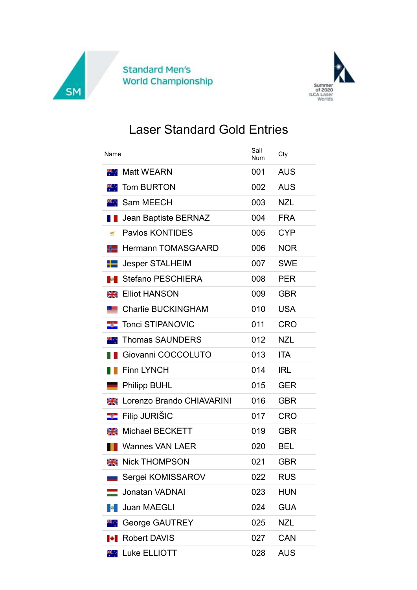



## Laser Standard Gold Entries

| Name       |                           | Sail<br>Num | Cty        |
|------------|---------------------------|-------------|------------|
| я.,        | <b>Matt WEARN</b>         | 001         | <b>AUS</b> |
|            | <b>Tom BURTON</b>         | 002         | <b>AUS</b> |
|            | Sam MEECH                 | 003         | <b>NZL</b> |
|            | Jean Baptiste BERNAZ      | 004         | <b>FRA</b> |
|            | <b>Paylos KONTIDES</b>    | 005         | <b>CYP</b> |
| ╬═         | <b>Hermann TOMASGAARD</b> | 006         | <b>NOR</b> |
| ┶          | <b>Jesper STALHEIM</b>    | 007         | <b>SWE</b> |
|            | <b>Stefano PESCHIERA</b>  | 008         | <b>PER</b> |
| Ж          | <b>Elliot HANSON</b>      | 009         | <b>GBR</b> |
|            | <b>Charlie BUCKINGHAM</b> | 010         | <b>USA</b> |
| -3-        | <b>Tonci STIPANOVIC</b>   | 011         | <b>CRO</b> |
| щ.,        | <b>Thomas SAUNDERS</b>    | 012         | <b>NZL</b> |
|            | Giovanni COCCOLUTO        | 013         | <b>ITA</b> |
|            | <b>Finn LYNCH</b>         | 014         | <b>IRL</b> |
|            | <b>Philipp BUHL</b>       | 015         | <b>GER</b> |
| ₩          | Lorenzo Brando CHIAVARINI | 016         | <b>GBR</b> |
| -3-        | <b>Filip JURIŠIC</b>      | 017         | <b>CRO</b> |
| ≳≼         | <b>Michael BECKETT</b>    | 019         | <b>GBR</b> |
|            | Wannes VAN LAER           | 020         | <b>BEL</b> |
|            | <b>Nick THOMPSON</b>      | 021         | <b>GBR</b> |
|            | Sergei KOMISSAROV         | 022         | <b>RUS</b> |
|            | Jonatan VADNAI            | 023         | <b>HUN</b> |
| <b>B</b> 1 | <b>Juan MAEGLI</b>        | 024         | <b>GUA</b> |
| PR 11      | <b>George GAUTREY</b>     | 025         | <b>NZL</b> |
|            | <b>Robert DAVIS</b>       | 027         | <b>CAN</b> |
|            | <b>KK</b> Luke ELLIOTT    | 028         | <b>AUS</b> |
|            |                           |             |            |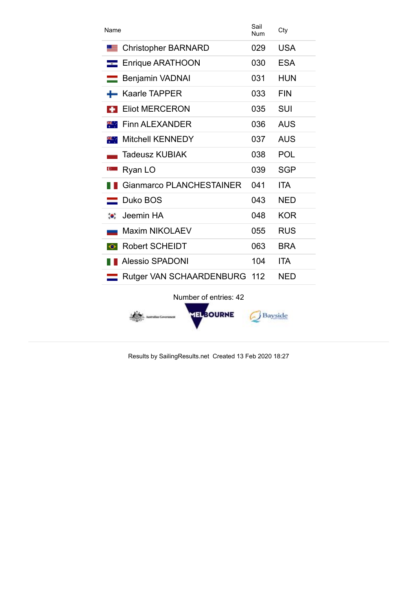| Name                               |     | Cty        |
|------------------------------------|-----|------------|
| <b>Christopher BARNARD</b>         | 029 | <b>USA</b> |
| Enrique ARATHOON                   | 030 | <b>ESA</b> |
| <b>Benjamin VADNAI</b>             | 031 | <b>HUN</b> |
| <b>Kaarle TAPPER</b>               | 033 | <b>FIN</b> |
| <b>Eliot MERCERON</b>              | 035 | <b>SUI</b> |
| <b>Finn ALEXANDER</b><br>98. L     | 036 | <b>AUS</b> |
| <b>Mitchell KENNEDY</b><br>98. J   | 037 | <b>AUS</b> |
| <b>Tadeusz KUBIAK</b>              | 038 | <b>POL</b> |
| Ryan LO<br><u>e</u>                | 039 | <b>SGP</b> |
| <b>Gianmarco PLANCHESTAINER</b>    | 041 | <b>ITA</b> |
| Duko BOS                           | 043 | <b>NED</b> |
| Jeemin HA<br>$\bullet$ .           | 048 | <b>KOR</b> |
| <b>Maxim NIKOLAEV</b>              | 055 | <b>RUS</b> |
| <b>Robert SCHEIDT</b><br>$\bullet$ | 063 | <b>BRA</b> |
| <b>Alessio SPADONI</b>             | 104 | <b>ITA</b> |
| Rutger VAN SCHAARDENBURG           | 112 | <b>NED</b> |
| Number of entries: 42              |     |            |



Results by SailingResults.net Created 13 Feb 2020 18:27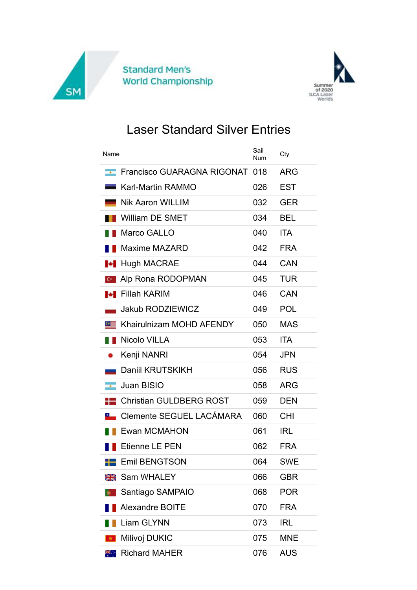



## Laser Standard Silver Entries

| Name                                      |     | Cty        |
|-------------------------------------------|-----|------------|
| Francisco GUARAGNA RIGONAT<br>man i       | 018 | <b>ARG</b> |
| <b>Karl-Martin RAMMO</b>                  | 026 | <b>EST</b> |
| <b>Nik Aaron WILLIM</b>                   | 032 | <b>GER</b> |
| William DE SMET                           | 034 | <b>BEL</b> |
| Marco GALLO                               | 040 | <b>ITA</b> |
| <b>Maxime MAZARD</b>                      | 042 | <b>FRA</b> |
| <b>Hugh MACRAE</b><br>ы                   | 044 | <b>CAN</b> |
| Alp Rona RODOPMAN<br>$C^*$                | 045 | <b>TUR</b> |
| <b>I</b> Fillah KARIM                     | 046 | CAN        |
| <b>Jakub RODZIEWICZ</b>                   | 049 | <b>POL</b> |
| Khairulnizam MOHD AFENDY<br>$\bullet$ $=$ | 050 | <b>MAS</b> |
| <b>Nicolo VILLA</b>                       | 053 | <b>ITA</b> |
| Kenji NANRI                               | 054 | <b>JPN</b> |
| Daniil KRUTSKIKH                          | 056 | <b>RUS</b> |
| <b>Juan BISIO</b><br>$\sim$               | 058 | <b>ARG</b> |
| <b>Christian GULDBERG ROST</b>            | 059 | <b>DEN</b> |
| Clemente SEGUEL LACÁMARA                  | 060 | <b>CHI</b> |
| Ewan MCMAHON                              | 061 | <b>IRL</b> |
| <b>Etienne LE PEN</b>                     | 062 | <b>FRA</b> |
| <b>Emil BENGTSON</b>                      | 064 | <b>SWE</b> |
| Sam WHALEY<br>≳≼                          | 066 | <b>GBR</b> |
| Santiago SAMPAIO                          | 068 | <b>POR</b> |
| <b>Alexandre BOITE</b>                    | 070 | <b>FRA</b> |
| <b>Liam GLYNN</b>                         | 073 | <b>IRL</b> |
| Milivoj DUKIC                             | 075 | <b>MNE</b> |
| <b>Richard MAHER</b><br>横山                | 076 | <b>AUS</b> |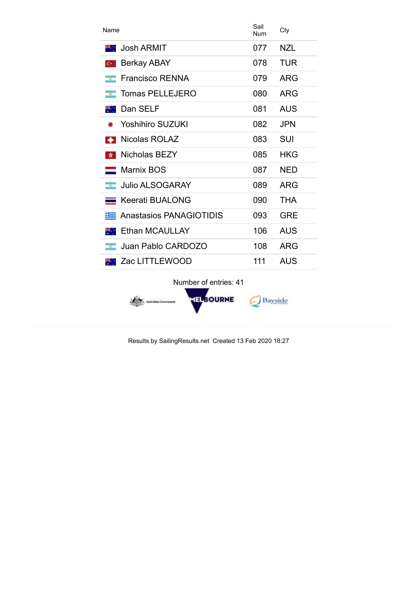| Name                                   | Sail<br>Num | Cty        |
|----------------------------------------|-------------|------------|
| Josh ARMIT<br>88. L                    | 077         | <b>NZL</b> |
| <b>Berkay ABAY</b><br>$C^*$            | 078         | <b>TUR</b> |
| <b>Francisco RENNA</b><br>$\sim$       | 079         | <b>ARG</b> |
| Tomas PELLEJERO<br>$\sim$              | 080         | ARG        |
| Dan SELF<br>98. L                      | 081         | <b>AUS</b> |
| <b>Yoshihiro SUZUKI</b>                | 082         | <b>JPN</b> |
| Nicolas ROLAZ                          | 083         | SUI        |
| Nicholas BEZY<br><b>大</b>              | 085         | HKG        |
| $\blacksquare$ Marnix BOS              | 087         | NED        |
| <b>Julio ALSOGARAY</b><br>$\mathbf{r}$ | 089         | <b>ARG</b> |
| <b>Keerati BUALONG</b>                 | 090         | <b>THA</b> |
| <b>Anastasios PANAGIOTIDIS</b>         | 093         | <b>GRE</b> |
| Ethan MCAULLAY<br>88. L                | 106         | <b>AUS</b> |
| Juan Pablo CARDOZO<br>$\mathbf{r}$     | 108         | <b>ARG</b> |
| Zac LITTLEWOOD                         | 111         | <b>AUS</b> |

Number of entries: 41



Results by SailingResults.net Created 13 Feb 2020 18:27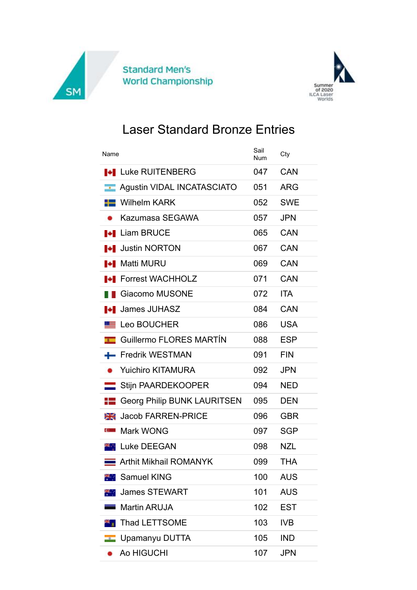



## Laser Standard Bronze Entries

| Name                                               | Sail<br>Num | Cty        |
|----------------------------------------------------|-------------|------------|
| <b>I Luke RUITENBERG</b>                           | 047         | CAN        |
| <b>Agustin VIDAL INCATASCIATO</b><br>$\mathcal{A}$ | 051         | <b>ARG</b> |
| <u>'-</u> Wilhelm KARK                             | 052         | <b>SWE</b> |
| Kazumasa SEGAWA                                    | 057         | <b>JPN</b> |
| <b>I</b> Liam BRUCE                                | 065         | <b>CAN</b> |
| <b>I</b> Justin NORTON                             | 067         | <b>CAN</b> |
| <b>I+I</b> Matti MURU                              | 069         | <b>CAN</b> |
| <b>LE</b> Forrest WACHHOLZ                         | 071         | CAN        |
| Giacomo MUSONE                                     | 072         | <b>ITA</b> |
| <b>James JUHASZ</b><br>ю.                          | 084         | <b>CAN</b> |
| Leo BOUCHER                                        | 086         | <b>USA</b> |
| Guillermo FLORES MARTÍN                            | 088         | <b>ESP</b> |
| <b>Fredrik WESTMAN</b><br>÷                        | 091         | <b>FIN</b> |
| <b>Yuichiro KITAMURA</b>                           | 092         | <b>JPN</b> |
| Stijn PAARDEKOOPER                                 | 094         | <b>NED</b> |
| <b>Georg Philip BUNK LAURITSEN</b>                 | 095         | <b>DEN</b> |
| <b>Jacob FARREN-PRICE</b><br>≳≼                    | 096         | <b>GBR</b> |
| Mark WONG<br>$\mathbf{C}$                          | 097         | <b>SGP</b> |
| <b>XXX</b> Luke DEEGAN                             | 098         | <b>NZL</b> |
| Arthit Mikhail ROMANYK                             | 099         | <b>THA</b> |
| Samuel KING                                        | 100         | <b>AUS</b> |
| <b>James STEWART</b>                               | 101         | <b>AUS</b> |
| <b>Martin ARUJA</b>                                | 102         | <b>EST</b> |
| <b>Thad LETTSOME</b>                               | 103         | <b>IVB</b> |
| Upamanyu DUTTA                                     | 105         | <b>IND</b> |
| Ao HIGUCHI                                         | 107         | <b>JPN</b> |